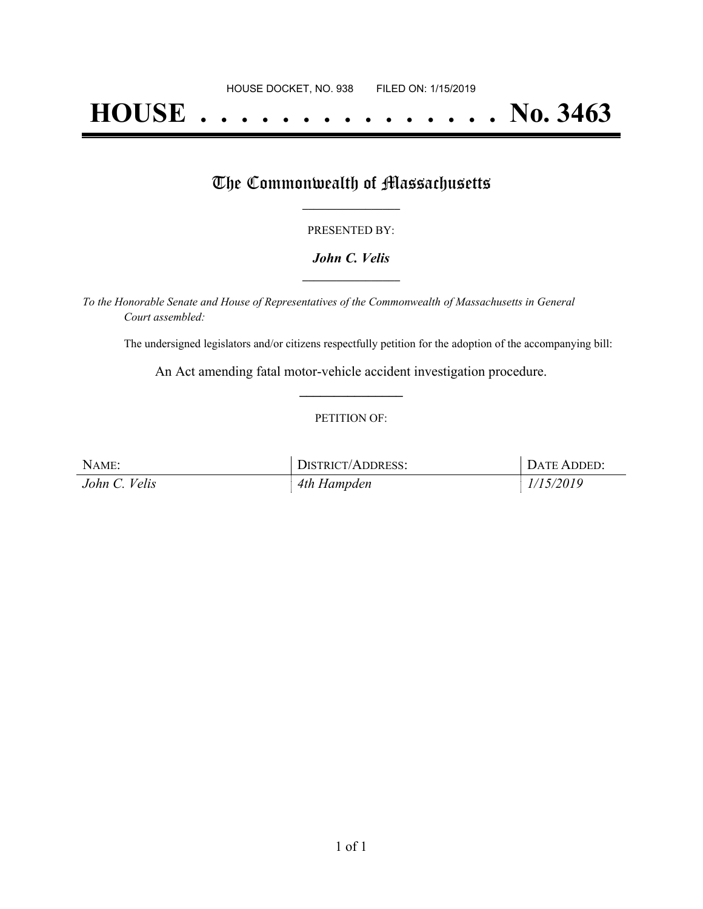# **HOUSE . . . . . . . . . . . . . . . No. 3463**

## The Commonwealth of Massachusetts

#### PRESENTED BY:

#### *John C. Velis* **\_\_\_\_\_\_\_\_\_\_\_\_\_\_\_\_\_**

*To the Honorable Senate and House of Representatives of the Commonwealth of Massachusetts in General Court assembled:*

The undersigned legislators and/or citizens respectfully petition for the adoption of the accompanying bill:

An Act amending fatal motor-vehicle accident investigation procedure. **\_\_\_\_\_\_\_\_\_\_\_\_\_\_\_**

#### PETITION OF:

| NAME:         | DISTRICT/ADDRESS: | DATE ADDED: |
|---------------|-------------------|-------------|
| John C. Velis | 4th Hampden       | 1/15/2019   |